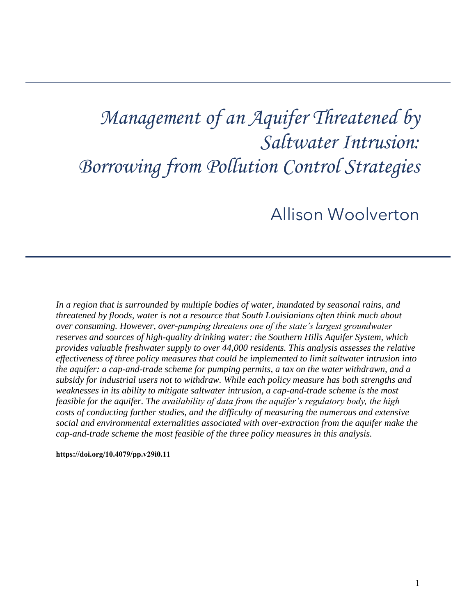# *Management of an Aquifer Threatened by Saltwater Intrusion: Borrowing from Pollution Control Strategies*

# Allison Woolverton

*In a region that is surrounded by multiple bodies of water, inundated by seasonal rains, and threatened by floods, water is not a resource that South Louisianians often think much about over consuming. However, over-pumping threatens one of the state's largest groundwater reserves and sources of high-quality drinking water: the Southern Hills Aquifer System, which provides valuable freshwater supply to over 44,000 residents. This analysis assesses the relative effectiveness of three policy measures that could be implemented to limit saltwater intrusion into the aquifer: a cap-and-trade scheme for pumping permits, a tax on the water withdrawn, and a subsidy for industrial users not to withdraw. While each policy measure has both strengths and weaknesses in its ability to mitigate saltwater intrusion, a cap-and-trade scheme is the most feasible for the aquifer. The availability of data from the aquifer's regulatory body, the high costs of conducting further studies, and the difficulty of measuring the numerous and extensive social and environmental externalities associated with over-extraction from the aquifer make the cap-and-trade scheme the most feasible of the three policy measures in this analysis.* 

**[https://doi.org/10.4079/pp.v29i0.11](https://doi.org/10.4079/pp.v28i0.9)**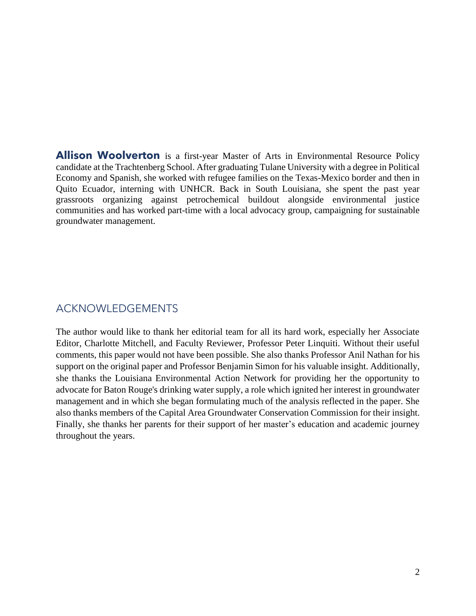candidate at the Trachtenberg School. After graduating Tulane University with a degree in Political Economy and Spanish, she worked with refugee families on the Texas-Mexico border and then in communities and has worked part-time with a local advocacy group, campaigning for sustainable **Allison Woolverton** is a first-year Master of Arts in Environmental Resource Policy Quito Ecuador, interning with UNHCR. Back in South Louisiana, she spent the past year grassroots organizing against petrochemical buildout alongside environmental justice groundwater management.

# ACKNOWLEDGEMENTS

 The author would like to thank her editorial team for all its hard work, especially her Associate comments, this paper would not have been possible. She also thanks Professor Anil Nathan for his support on the original paper and Professor Benjamin Simon for his valuable insight. Additionally, she thanks the Louisiana Environmental Action Network for providing her the opportunity to advocate for Baton Rouge's drinking water supply, a role which ignited her interest in groundwater also thanks members of the Capital Area Groundwater Conservation Commission for their insight. Finally, she thanks her parents for their support of her master's education and academic journey Editor, Charlotte Mitchell, and Faculty Reviewer, Professor Peter Linquiti. Without their useful management and in which she began formulating much of the analysis reflected in the paper. She throughout the years.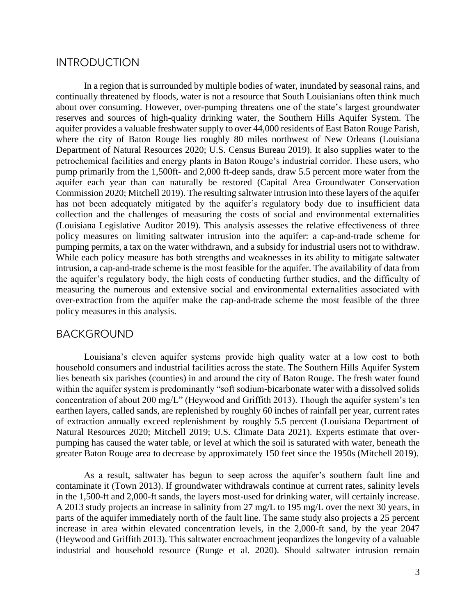#### **INTRODUCTION**

 continually threatened by floods, water is not a resource that South Louisianians often think much reserves and sources of high-quality drinking water, the Southern Hills Aquifer System. The aquifer provides a valuable freshwater supply to over 44,000 residents of East Baton Rouge Parish, Department of Natural Resources 2020; U.S. Census Bureau 2019). It also supplies water to the petrochemical facilities and energy plants in Baton Rouge's industrial corridor. These users, who pump primarily from the 1,500ft- and 2,000 ft-deep sands, draw 5.5 percent more water from the Commission 2020; Mitchell 2019). The resulting saltwater intrusion into these layers of the aquifer (Louisiana Legislative Auditor 2019). This analysis assesses the relative effectiveness of three policy measures on limiting saltwater intrusion into the aquifer: a cap-and-trade scheme for pumping permits, a tax on the water withdrawn, and a subsidy for industrial users not to withdraw. While each policy measure has both strengths and weaknesses in its ability to mitigate saltwater intrusion, a cap-and-trade scheme is the most feasible for the aquifer. The availability of data from over-extraction from the aquifer make the cap-and-trade scheme the most feasible of the three In a region that is surrounded by multiple bodies of water, inundated by seasonal rains, and about over consuming. However, over-pumping threatens one of the state's largest groundwater where the city of Baton Rouge lies roughly 80 miles northwest of New Orleans (Louisiana aquifer each year than can naturally be restored (Capital Area Groundwater Conservation has not been adequately mitigated by the aquifer's regulatory body due to insufficient data collection and the challenges of measuring the costs of social and environmental externalities the aquifer's regulatory body, the high costs of conducting further studies, and the difficulty of measuring the numerous and extensive social and environmental externalities associated with policy measures in this analysis.

#### BACKGROUND

 Louisiana's eleven aquifer systems provide high quality water at a low cost to both lies beneath six parishes (counties) in and around the city of Baton Rouge. The fresh water found within the aquifer system is predominantly "soft sodium-bicarbonate water with a dissolved solids household consumers and industrial facilities across the state. The Southern Hills Aquifer System concentration of about 200 mg/L" (Heywood and Griffith 2013). Though the aquifer system's ten earthen layers, called sands, are replenished by roughly 60 inches of rainfall per year, current rates of extraction annually exceed replenishment by roughly 5.5 percent (Louisiana Department of Natural Resources 2020; Mitchell 2019; U.S. Climate Data 2021). Experts estimate that overpumping has caused the water table, or level at which the soil is saturated with water, beneath the greater Baton Rouge area to decrease by approximately 150 feet since the 1950s (Mitchell 2019).

 As a result, saltwater has begun to seep across the aquifer's southern fault line and contaminate it (Town 2013). If groundwater withdrawals continue at current rates, salinity levels parts of the aquifer immediately north of the fault line. The same study also projects a 25 percent increase in area within elevated concentration levels, in the 2,000-ft sand, by the year 2047 (Heywood and Griffith 2013). This saltwater encroachment jeopardizes the longevity of a valuable industrial and household resource (Runge et al. 2020). Should saltwater intrusion remain in the 1,500-ft and 2,000-ft sands, the layers most-used for drinking water, will certainly increase. A 2013 study projects an increase in salinity from 27 mg/L to 195 mg/L over the next 30 years, in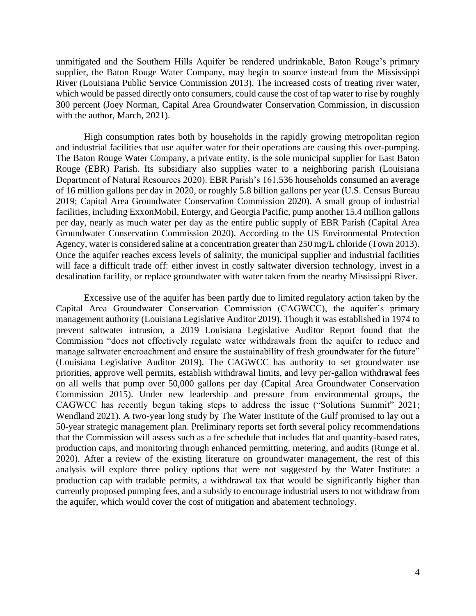unmitigated and the Southern Hills Aquifer be rendered undrinkable, Baton Rouge's primary River (Louisiana Public Service Commission 2013). The increased costs of treating river water, which would be passed directly onto consumers, could cause the cost of tap water to rise by roughly supplier, the Baton Rouge Water Company, may begin to source instead from the Mississippi 300 percent (Joey Norman, Capital Area Groundwater Conservation Commission, in discussion with the author, March, 2021).

 High consumption rates both by households in the rapidly growing metropolitan region and industrial facilities that use aquifer water for their operations are causing this over-pumping. The Baton Rouge Water Company, a private entity, is the sole municipal supplier for East Baton 2019; Capital Area Groundwater Conservation Commission 2020). A small group of industrial per day, nearly as much water per day as the entire public supply of EBR Parish (Capital Area Agency, water is considered saline at a concentration greater than 250 mg/L chloride (Town 2013). will face a difficult trade off: either invest in costly saltwater diversion technology, invest in a Rouge (EBR) Parish. Its subsidiary also supplies water to a neighboring parish (Louisiana Department of Natural Resources 2020). EBR Parish's 161,536 households consumed an average of 16 million gallons per day in 2020, or roughly 5.8 billion gallons per year (U.S. Census Bureau facilities, including ExxonMobil, Entergy, and Georgia Pacific, pump another 15.4 million gallons Groundwater Conservation Commission 2020). According to the US Environmental Protection Once the aquifer reaches excess levels of salinity, the municipal supplier and industrial facilities desalination facility, or replace groundwater with water taken from the nearby Mississippi River.

 Excessive use of the aquifer has been partly due to limited regulatory action taken by the management authority (Louisiana Legislative Auditor 2019). Though it was established in 1974 to prevent saltwater intrusion, a 2019 Louisiana Legislative Auditor Report found that the Commission "does not effectively regulate water withdrawals from the aquifer to reduce and (Louisiana Legislative Auditor 2019). The CAGWCC has authority to set groundwater use priorities, approve well permits, establish withdrawal limits, and levy per-gallon withdrawal fees CAGWCC has recently begun taking steps to address the issue ("Solutions Summit" 2021; Wendland 2021). A two-year long study by The Water Institute of the Gulf promised to lay out a 2020). After a review of the existing literature on groundwater management, the rest of this analysis will explore three policy options that were not suggested by the Water Institute: a currently proposed pumping fees, and a subsidy to encourage industrial users to not withdraw from Capital Area Groundwater Conservation Commission (CAGWCC), the aquifer's primary manage saltwater encroachment and ensure the sustainability of fresh groundwater for the future" on all wells that pump over 50,000 gallons per day (Capital Area Groundwater Conservation Commission 2015). Under new leadership and pressure from environmental groups, the 50-year strategic management plan. Preliminary reports set forth several policy recommendations that the Commission will assess such as a fee schedule that includes flat and quantity-based rates, production caps, and monitoring through enhanced permitting, metering, and audits (Runge et al. production cap with tradable permits, a withdrawal tax that would be significantly higher than the aquifer, which would cover the cost of mitigation and abatement technology.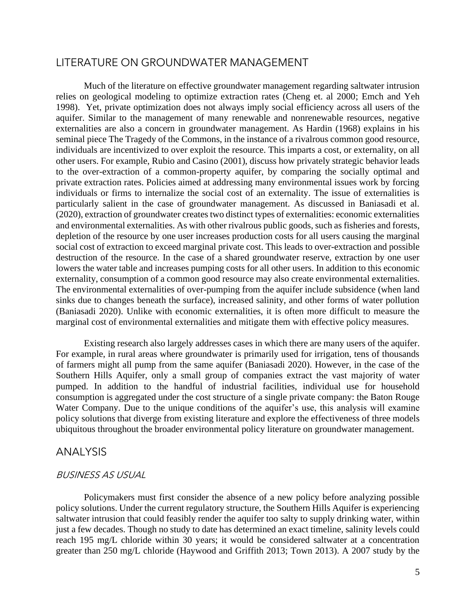### LITERATURE ON GROUNDWATER MANAGEMENT

 1998). Yet, private optimization does not always imply social efficiency across all users of the externalities are also a concern in groundwater management. As Hardin (1968) explains in his seminal piece The Tragedy of the Commons, in the instance of a rivalrous common good resource, other users. For example, Rubio and Casino (2001), discuss how privately strategic behavior leads to the over-extraction of a common-property aquifer, by comparing the socially optimal and individuals or firms to internalize the social cost of an externality. The issue of externalities is (2020), extraction of groundwater creates two distinct types of externalities: economic externalities destruction of the resource. In the case of a shared groundwater reserve, extraction by one user lowers the water table and increases pumping costs for all other users. In addition to this economic sinks due to changes beneath the surface), increased salinity, and other forms of water pollution (Baniasadi 2020). Unlike with economic externalities, it is often more difficult to measure the Much of the literature on effective groundwater management regarding saltwater intrusion relies on geological modeling to optimize extraction rates (Cheng et. al 2000; Emch and Yeh aquifer. Similar to the management of many renewable and nonrenewable resources, negative individuals are incentivized to over exploit the resource. This imparts a cost, or externality, on all private extraction rates. Policies aimed at addressing many environmental issues work by forcing particularly salient in the case of groundwater management. As discussed in Baniasadi et al. and environmental externalities. As with other rivalrous public goods, such as fisheries and forests, depletion of the resource by one user increases production costs for all users causing the marginal social cost of extraction to exceed marginal private cost. This leads to over-extraction and possible externality, consumption of a common good resource may also create environmental externalities. The environmental externalities of over-pumping from the aquifer include subsidence (when land marginal cost of environmental externalities and mitigate them with effective policy measures.

 Existing research also largely addresses cases in which there are many users of the aquifer. of farmers might all pump from the same aquifer (Baniasadi 2020). However, in the case of the Southern Hills Aquifer, only a small group of companies extract the vast majority of water pumped. In addition to the handful of industrial facilities, individual use for household Water Company. Due to the unique conditions of the aquifer's use, this analysis will examine policy solutions that diverge from existing literature and explore the effectiveness of three models For example, in rural areas where groundwater is primarily used for irrigation, tens of thousands consumption is aggregated under the cost structure of a single private company: the Baton Rouge ubiquitous throughout the broader environmental policy literature on groundwater management.

#### ANALYSIS

#### BUSINESS AS USUAL

 Policymakers must first consider the absence of a new policy before analyzing possible just a few decades. Though no study to date has determined an exact timeline, salinity levels could reach 195 mg/L chloride within 30 years; it would be considered saltwater at a concentration greater than 250 mg/L chloride (Haywood and Griffith 2013; Town 2013). A 2007 study by the policy solutions. Under the current regulatory structure, the Southern Hills Aquifer is experiencing saltwater intrusion that could feasibly render the aquifer too salty to supply drinking water, within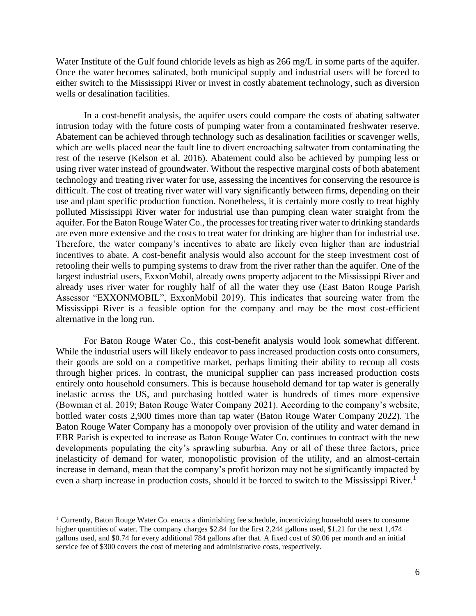Water Institute of the Gulf found chloride levels as high as 266 mg/L in some parts of the aquifer. Once the water becomes salinated, both municipal supply and industrial users will be forced to either switch to the Mississippi River or invest in costly abatement technology, such as diversion wells or desalination facilities.

 In a cost-benefit analysis, the aquifer users could compare the costs of abating saltwater intrusion today with the future costs of pumping water from a contaminated freshwater reserve. which are wells placed near the fault line to divert encroaching saltwater from contaminating the using river water instead of groundwater. Without the respective marginal costs of both abatement technology and treating river water for use, assessing the incentives for conserving the resource is polluted Mississippi River water for industrial use than pumping clean water straight from the are even more extensive and the costs to treat water for drinking are higher than for industrial use. Therefore, the water company's incentives to abate are likely even higher than are industrial retooling their wells to pumping systems to draw from the river rather than the aquifer. One of the already uses river water for roughly half of all the water they use (East Baton Rouge Parish Mississippi River is a feasible option for the company and may be the most cost-efficient Abatement can be achieved through technology such as desalination facilities or scavenger wells, rest of the reserve (Kelson et al. 2016). Abatement could also be achieved by pumping less or difficult. The cost of treating river water will vary significantly between firms, depending on their use and plant specific production function. Nonetheless, it is certainly more costly to treat highly aquifer. For the Baton Rouge Water Co., the processes for treating river water to drinking standards incentives to abate. A cost-benefit analysis would also account for the steep investment cost of largest industrial users, ExxonMobil, already owns property adjacent to the Mississippi River and Assessor "EXXONMOBIL", ExxonMobil 2019). This indicates that sourcing water from the alternative in the long run.

 For Baton Rouge Water Co., this cost-benefit analysis would look somewhat different. their goods are sold on a competitive market, perhaps limiting their ability to recoup all costs entirely onto household consumers. This is because household demand for tap water is generally bottled water costs 2,900 times more than tap water (Baton Rouge Water Company 2022). The EBR Parish is expected to increase as Baton Rouge Water Co. continues to contract with the new developments populating the city's sprawling suburbia. Any or all of these three factors, price even a sharp increase in production costs, should it be forced to switch to the Mississippi River.<sup>1</sup> While the industrial users will likely endeavor to pass increased production costs onto consumers, through higher prices. In contrast, the municipal supplier can pass increased production costs inelastic across the US, and purchasing bottled water is hundreds of times more expensive (Bowman et al. 2019; Baton Rouge Water Company 2021). According to the company's website, Baton Rouge Water Company has a monopoly over provision of the utility and water demand in inelasticity of demand for water, monopolistic provision of the utility, and an almost-certain increase in demand, mean that the company's profit horizon may not be significantly impacted by

<sup>&</sup>lt;sup>1</sup> Currently, Baton Rouge Water Co. enacts a diminishing fee schedule, incentivizing household users to consume higher quantities of water. The company charges \$2.84 for the first 2,244 gallons used, \$1.21 for the next 1,474 gallons used, and \$0.74 for every additional 784 gallons after that. A fixed cost of \$0.06 per month and an initial service fee of \$300 covers the cost of metering and administrative costs, respectively.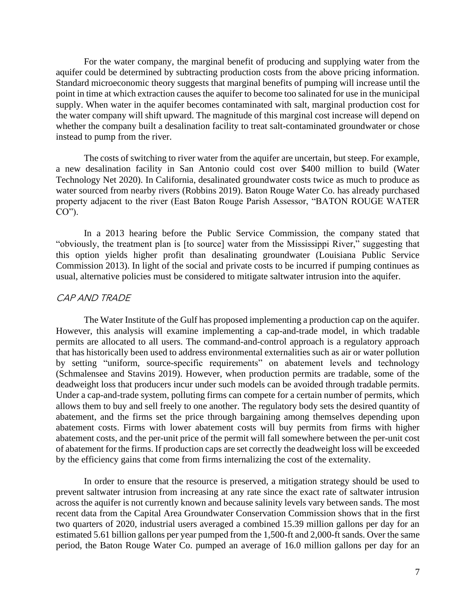point in time at which extraction causes the aquifer to become too salinated for use in the municipal supply. When water in the aquifer becomes contaminated with salt, marginal production cost for the water company will shift upward. The magnitude of this marginal cost increase will depend on whether the company built a desalination facility to treat salt-contaminated groundwater or chose For the water company, the marginal benefit of producing and supplying water from the aquifer could be determined by subtracting production costs from the above pricing information. Standard microeconomic theory suggests that marginal benefits of pumping will increase until the instead to pump from the river.

 The costs of switching to river water from the aquifer are uncertain, but steep. For example, Technology Net 2020). In California, desalinated groundwater costs twice as much to produce as property adjacent to the river (East Baton Rouge Parish Assessor, "BATON ROUGE WATER a new desalination facility in San Antonio could cost over \$400 million to build (Water water sourced from nearby rivers (Robbins 2019). Baton Rouge Water Co. has already purchased  $CO$ ").

 In a 2013 hearing before the Public Service Commission, the company stated that "obviously, the treatment plan is [to source] water from the Mississippi River," suggesting that this option yields higher profit than desalinating groundwater (Louisiana Public Service Commission 2013). In light of the social and private costs to be incurred if pumping continues as usual, alternative policies must be considered to mitigate saltwater intrusion into the aquifer.

#### CAP AND TRADE

 The Water Institute of the Gulf has proposed implementing a production cap on the aquifer. However, this analysis will examine implementing a cap-and-trade model, in which tradable permits are allocated to all users. The command-and-control approach is a regulatory approach that has historically been used to address environmental externalities such as air or water pollution (Schmalensee and Stavins 2019). However, when production permits are tradable, some of the Under a cap-and-trade system, polluting firms can compete for a certain number of permits, which abatement costs. Firms with lower abatement costs will buy permits from firms with higher abatement costs, and the per-unit price of the permit will fall somewhere between the per-unit cost of abatement for the firms. If production caps are set correctly the deadweight loss will be exceeded by setting "uniform, source-specific requirements" on abatement levels and technology deadweight loss that producers incur under such models can be avoided through tradable permits. allows them to buy and sell freely to one another. The regulatory body sets the desired quantity of abatement, and the firms set the price through bargaining among themselves depending upon by the efficiency gains that come from firms internalizing the cost of the externality.

 In order to ensure that the resource is preserved, a mitigation strategy should be used to prevent saltwater intrusion from increasing at any rate since the exact rate of saltwater intrusion across the aquifer is not currently known and because salinity levels vary between sands. The most two quarters of 2020, industrial users averaged a combined 15.39 million gallons per day for an period, the Baton Rouge Water Co. pumped an average of 16.0 million gallons per day for an recent data from the Capital Area Groundwater Conservation Commission shows that in the first estimated 5.61 billion gallons per year pumped from the 1,500-ft and 2,000-ft sands. Over the same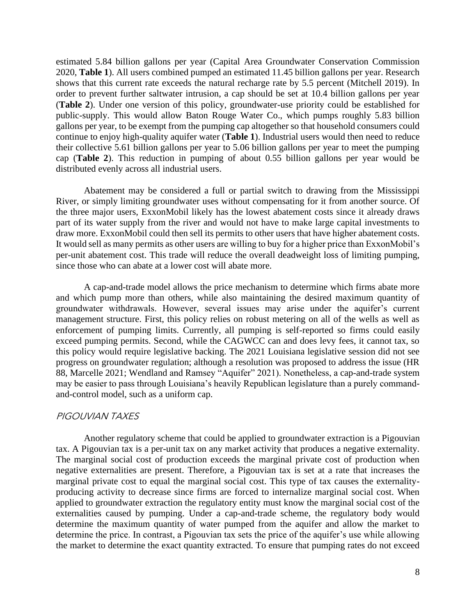estimated 5.84 billion gallons per year (Capital Area Groundwater Conservation Commission 2020, **Table 1**). All users combined pumped an estimated 11.45 billion gallons per year. Research order to prevent further saltwater intrusion, a cap should be set at 10.4 billion gallons per year (**Table 2**). Under one version of this policy, groundwater-use priority could be established for public-supply. This would allow Baton Rouge Water Co., which pumps roughly 5.83 billion gallons per year, to be exempt from the pumping cap altogether so that household consumers could their collective 5.61 billion gallons per year to 5.06 billion gallons per year to meet the pumping cap (**Table 2**). This reduction in pumping of about 0.55 billion gallons per year would be shows that this current rate exceeds the natural recharge rate by 5.5 percent (Mitchell 2019). In continue to enjoy high-quality aquifer water (**Table 1**). Industrial users would then need to reduce distributed evenly across all industrial users.

 Abatement may be considered a full or partial switch to drawing from the Mississippi River, or simply limiting groundwater uses without compensating for it from another source. Of the three major users, ExxonMobil likely has the lowest abatement costs since it already draws part of its water supply from the river and would not have to make large capital investments to draw more. ExxonMobil could then sell its permits to other users that have higher abatement costs. It would sell as many permits as other users are willing to buy for a higher price than ExxonMobil's per-unit abatement cost. This trade will reduce the overall deadweight loss of limiting pumping, since those who can abate at a lower cost will abate more.

 management structure. First, this policy relies on robust metering on all of the wells as well as exceed pumping permits. Second, while the CAGWCC can and does levy fees, it cannot tax, so this policy would require legislative backing. The 2021 Louisiana legislative session did not see progress on groundwater regulation; although a resolution was proposed to address the issue (HR may be easier to pass through Louisiana's heavily Republican legislature than a purely command-A cap-and-trade model allows the price mechanism to determine which firms abate more and which pump more than others, while also maintaining the desired maximum quantity of groundwater withdrawals. However, several issues may arise under the aquifer's current enforcement of pumping limits. Currently, all pumping is self-reported so firms could easily 88, Marcelle 2021; Wendland and Ramsey "Aquifer" 2021). Nonetheless, a cap-and-trade system and-control model, such as a uniform cap.

#### PIGOUVIAN TAXES

 tax. A Pigouvian tax is a per-unit tax on any market activity that produces a negative externality. negative externalities are present. Therefore, a Pigouvian tax is set at a rate that increases the producing activity to decrease since firms are forced to internalize marginal social cost. When Another regulatory scheme that could be applied to groundwater extraction is a Pigouvian The marginal social cost of production exceeds the marginal private cost of production when marginal private cost to equal the marginal social cost. This type of tax causes the externalityapplied to groundwater extraction the regulatory entity must know the marginal social cost of the externalities caused by pumping. Under a cap-and-trade scheme, the regulatory body would determine the maximum quantity of water pumped from the aquifer and allow the market to determine the price. In contrast, a Pigouvian tax sets the price of the aquifer's use while allowing the market to determine the exact quantity extracted. To ensure that pumping rates do not exceed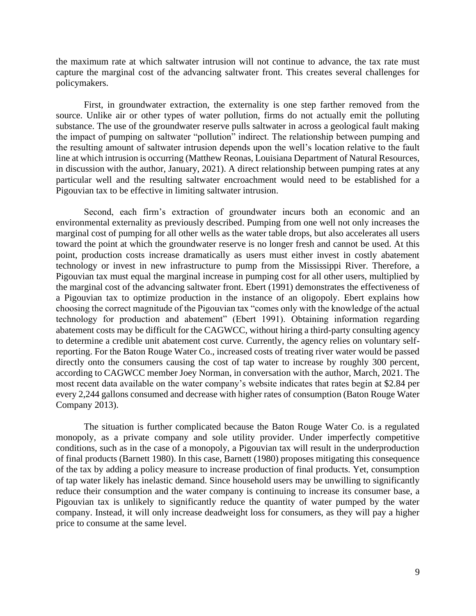the maximum rate at which saltwater intrusion will not continue to advance, the tax rate must capture the marginal cost of the advancing saltwater front. This creates several challenges for policymakers.

 substance. The use of the groundwater reserve pulls saltwater in across a geological fault making the impact of pumping on saltwater "pollution" indirect. The relationship between pumping and the resulting amount of saltwater intrusion depends upon the well's location relative to the fault line at which intrusion is occurring (Matthew Reonas, Louisiana Department of Natural Resources, particular well and the resulting saltwater encroachment would need to be established for a First, in groundwater extraction, the externality is one step farther removed from the source. Unlike air or other types of water pollution, firms do not actually emit the polluting in discussion with the author, January, 2021). A direct relationship between pumping rates at any Pigouvian tax to be effective in limiting saltwater intrusion.

 environmental externality as previously described. Pumping from one well not only increases the marginal cost of pumping for all other wells as the water table drops, but also accelerates all users toward the point at which the groundwater reserve is no longer fresh and cannot be used. At this point, production costs increase dramatically as users must either invest in costly abatement Pigouvian tax must equal the marginal increase in pumping cost for all other users, multiplied by choosing the correct magnitude of the Pigouvian tax "comes only with the knowledge of the actual abatement costs may be difficult for the CAGWCC, without hiring a third-party consulting agency to determine a credible unit abatement cost curve. Currently, the agency relies on voluntary self- reporting. For the Baton Rouge Water Co., increased costs of treating river water would be passed directly onto the consumers causing the cost of tap water to increase by roughly 300 percent, according to CAGWCC member Joey Norman, in conversation with the author, March, 2021. The every 2,244 gallons consumed and decrease with higher rates of consumption (Baton Rouge Water Second, each firm's extraction of groundwater incurs both an economic and an technology or invest in new infrastructure to pump from the Mississippi River. Therefore, a the marginal cost of the advancing saltwater front. Ebert (1991) demonstrates the effectiveness of a Pigouvian tax to optimize production in the instance of an oligopoly. Ebert explains how technology for production and abatement" (Ebert 1991). Obtaining information regarding most recent data available on the water company's website indicates that rates begin at \$2.84 per Company 2013).

 The situation is further complicated because the Baton Rouge Water Co. is a regulated monopoly, as a private company and sole utility provider. Under imperfectly competitive conditions, such as in the case of a monopoly, a Pigouvian tax will result in the underproduction of the tax by adding a policy measure to increase production of final products. Yet, consumption of tap water likely has inelastic demand. Since household users may be unwilling to significantly reduce their consumption and the water company is continuing to increase its consumer base, a company. Instead, it will only increase deadweight loss for consumers, as they will pay a higher of final products (Barnett 1980). In this case, Barnett (1980) proposes mitigating this consequence Pigouvian tax is unlikely to significantly reduce the quantity of water pumped by the water price to consume at the same level.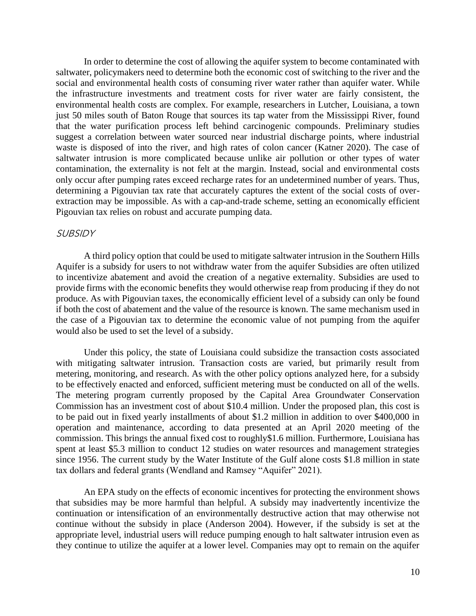In order to determine the cost of allowing the aquifer system to become contaminated with saltwater, policymakers need to determine both the economic cost of switching to the river and the social and environmental health costs of consuming river water rather than aquifer water. While the infrastructure investments and treatment costs for river water are fairly consistent, the waste is disposed of into the river, and high rates of colon cancer (Katner 2020). The case of saltwater intrusion is more complicated because unlike air pollution or other types of water determining a Pigouvian tax rate that accurately captures the extent of the social costs of overenvironmental health costs are complex. For example, researchers in Lutcher, Louisiana, a town just 50 miles south of Baton Rouge that sources its tap water from the Mississippi River, found that the water purification process left behind carcinogenic compounds. Preliminary studies suggest a correlation between water sourced near industrial discharge points, where industrial contamination, the externality is not felt at the margin. Instead, social and environmental costs only occur after pumping rates exceed recharge rates for an undetermined number of years. Thus, extraction may be impossible. As with a cap-and-trade scheme, setting an economically efficient Pigouvian tax relies on robust and accurate pumping data.

#### **SUBSIDY**

 A third policy option that could be used to mitigate saltwater intrusion in the Southern Hills Aquifer is a subsidy for users to not withdraw water from the aquifer Subsidies are often utilized to incentivize abatement and avoid the creation of a negative externality. Subsidies are used to provide firms with the economic benefits they would otherwise reap from producing if they do not if both the cost of abatement and the value of the resource is known. The same mechanism used in the case of a Pigouvian tax to determine the economic value of not pumping from the aquifer produce. As with Pigouvian taxes, the economically efficient level of a subsidy can only be found would also be used to set the level of a subsidy.

 Under this policy, the state of Louisiana could subsidize the transaction costs associated with mitigating saltwater intrusion. Transaction costs are varied, but primarily result from metering, monitoring, and research. As with the other policy options analyzed here, for a subsidy to be effectively enacted and enforced, sufficient metering must be conducted on all of the wells. operation and maintenance, according to data presented at an April 2020 meeting of the commission. This brings the annual fixed cost to roughly\$1.6 million. Furthermore, Louisiana has since 1956. The current study by the Water Institute of the Gulf alone costs \$1.8 million in state The metering program currently proposed by the Capital Area Groundwater Conservation Commission has an investment cost of about \$10.4 million. Under the proposed plan, this cost is to be paid out in fixed yearly installments of about \$1.2 million in addition to over \$400,000 in spent at least \$5.3 million to conduct 12 studies on water resources and management strategies tax dollars and federal grants (Wendland and Ramsey "Aquifer" 2021).

 An EPA study on the effects of economic incentives for protecting the environment shows that subsidies may be more harmful than helpful. A subsidy may inadvertently incentivize the continue without the subsidy in place (Anderson 2004). However, if the subsidy is set at the appropriate level, industrial users will reduce pumping enough to halt saltwater intrusion even as they continue to utilize the aquifer at a lower level. Companies may opt to remain on the aquifer continuation or intensification of an environmentally destructive action that may otherwise not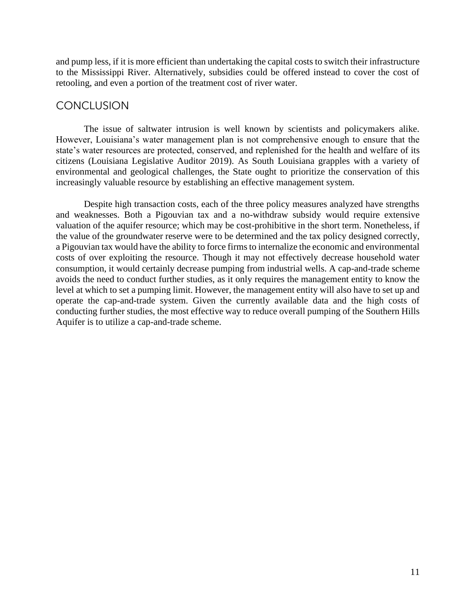and pump less, if it is more efficient than undertaking the capital costs to switch their infrastructure to the Mississippi River. Alternatively, subsidies could be offered instead to cover the cost of retooling, and even a portion of the treatment cost of river water.

## **CONCLUSION**

 The issue of saltwater intrusion is well known by scientists and policymakers alike. citizens (Louisiana Legislative Auditor 2019). As South Louisiana grapples with a variety of environmental and geological challenges, the State ought to prioritize the conservation of this However, Louisiana's water management plan is not comprehensive enough to ensure that the state's water resources are protected, conserved, and replenished for the health and welfare of its increasingly valuable resource by establishing an effective management system.

 Despite high transaction costs, each of the three policy measures analyzed have strengths and weaknesses. Both a Pigouvian tax and a no-withdraw subsidy would require extensive avoids the need to conduct further studies, as it only requires the management entity to know the level at which to set a pumping limit. However, the management entity will also have to set up and conducting further studies, the most effective way to reduce overall pumping of the Southern Hills valuation of the aquifer resource; which may be cost-prohibitive in the short term. Nonetheless, if the value of the groundwater reserve were to be determined and the tax policy designed correctly, a Pigouvian tax would have the ability to force firms to internalize the economic and environmental costs of over exploiting the resource. Though it may not effectively decrease household water consumption, it would certainly decrease pumping from industrial wells. A cap-and-trade scheme operate the cap-and-trade system. Given the currently available data and the high costs of Aquifer is to utilize a cap-and-trade scheme.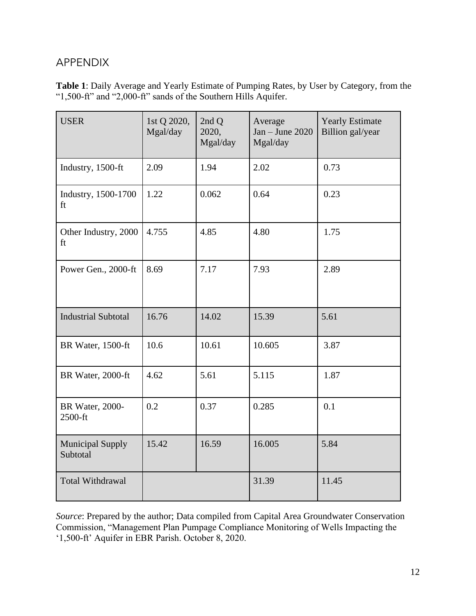# APPENDIX

**Table 1**: Daily Average and Yearly Estimate of Pumping Rates, by User by Category, from the "1,500-ft" and "2,000-ft" sands of the Southern Hills Aquifer.

| <b>USER</b>                         | 1st Q 2020,<br>Mgal/day | 2nd Q<br>2020,<br>Mgal/day | Average<br>$Jan - June 2020$<br>Mgal/day | <b>Yearly Estimate</b><br>Billion gal/year |  |
|-------------------------------------|-------------------------|----------------------------|------------------------------------------|--------------------------------------------|--|
| Industry, 1500-ft                   | 2.09                    | 1.94                       | 2.02                                     | 0.73                                       |  |
| Industry, 1500-1700<br>ft           | 1.22                    | 0.062                      | 0.64                                     | 0.23                                       |  |
| Other Industry, 2000<br>ft          | 4.755                   | 4.85                       | 4.80                                     | 1.75                                       |  |
| Power Gen., 2000-ft                 | 8.69                    | 7.17                       | 7.93                                     | 2.89                                       |  |
| <b>Industrial Subtotal</b>          | 16.76                   | 14.02                      | 15.39                                    | 5.61                                       |  |
| BR Water, 1500-ft                   | 10.6                    | 10.61                      | 10.605                                   | 3.87                                       |  |
| BR Water, 2000-ft                   | 4.62                    | 5.61                       | 5.115                                    | 1.87                                       |  |
| BR Water, 2000-<br>2500-ft          | 0.2                     | 0.37                       | 0.285                                    | 0.1                                        |  |
| <b>Municipal Supply</b><br>Subtotal | 15.42                   | 16.59                      | 16.005                                   | 5.84                                       |  |
| Total Withdrawal                    |                         |                            | 31.39                                    | 11.45                                      |  |

*Source*: Prepared by the author; Data compiled from Capital Area Groundwater Conservation Commission, "Management Plan Pumpage Compliance Monitoring of Wells Impacting the '1,500-ft' Aquifer in EBR Parish. October 8, 2020.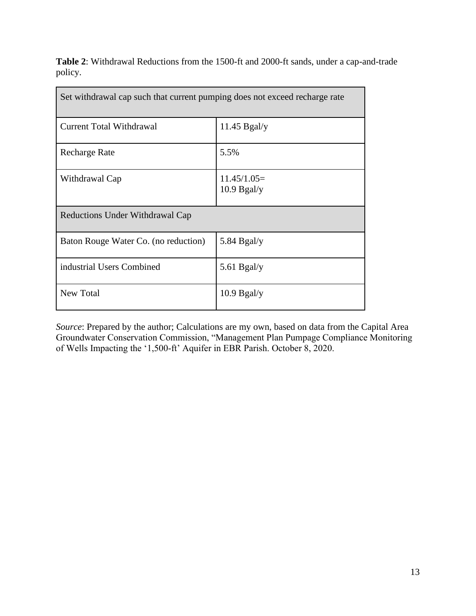|         | <b>Table 2:</b> Withdrawal Reductions from the 1500-ft and 2000-ft sands, under a cap-and-trade |  |  |  |  |
|---------|-------------------------------------------------------------------------------------------------|--|--|--|--|
| policy. |                                                                                                 |  |  |  |  |

| Set withdrawal cap such that current pumping does not exceed recharge rate |                                |  |  |  |  |
|----------------------------------------------------------------------------|--------------------------------|--|--|--|--|
| <b>Current Total Withdrawal</b>                                            | $11.45$ Bgal/y                 |  |  |  |  |
| <b>Recharge Rate</b>                                                       | 5.5%                           |  |  |  |  |
| Withdrawal Cap                                                             | $11.45/1.05=$<br>$10.9$ Bgal/y |  |  |  |  |
| Reductions Under Withdrawal Cap                                            |                                |  |  |  |  |
| Baton Rouge Water Co. (no reduction)                                       | 5.84 Bgal/y                    |  |  |  |  |
| industrial Users Combined                                                  | 5.61 Bgal/y                    |  |  |  |  |
| New Total                                                                  | $10.9$ Bgal/y                  |  |  |  |  |

*Source*: Prepared by the author; Calculations are my own, based on data from the Capital Area Groundwater Conservation Commission, "Management Plan Pumpage Compliance Monitoring of Wells Impacting the '1,500-ft' Aquifer in EBR Parish. October 8, 2020.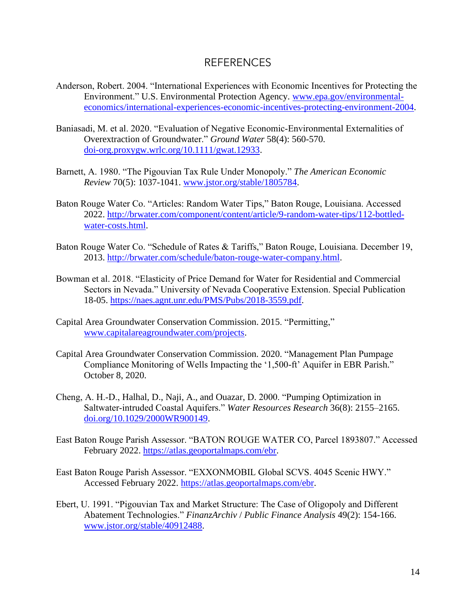#### REFERENCES

- Anderson, Robert. 2004. "International Experiences with Economic Incentives for Protecting the Environment." U.S. Environmental Protection Agency*.* [www.epa.gov/environmental](https://www.epa.gov/environmental-economics/international-experiences-economic-incentives-protecting-environment-2004)[economics/international-experiences-economic-incentives-protecting-environment-2004.](https://www.epa.gov/environmental-economics/international-experiences-economic-incentives-protecting-environment-2004)
- Baniasadi, M. et al. 2020. "Evaluation of Negative Economic‐Environmental Externalities of Overextraction of Groundwater." *Ground Water* 58(4): 560-570. [doi-org.proxygw.wrlc.org/10.1111/gwat.12933.](https://doi-org.proxygw.wrlc.org/10.1111/gwat.12933)
- Barnett, A. 1980. "The Pigouvian Tax Rule Under Monopoly." *The American Economic Review* 70(5): 1037-1041. [www.jstor.org/stable/1805784.](http://www.jstor.org/stable/1805784)
- Baton Rouge Water Co. "Articles: Random Water Tips," Baton Rouge, Louisiana. Accessed 2022. [http://brwater.com/component/content/article/9-random-water-tips/112-bottled](http://brwater.com/component/content/article/9-random-water-tips/112-bottled-water-costs.html)[water-costs.html.](http://brwater.com/component/content/article/9-random-water-tips/112-bottled-water-costs.html)
- Baton Rouge Water Co. "Schedule of Rates & Tariffs," Baton Rouge, Louisiana. December 19, 2013. [http://brwater.com/schedule/baton-rouge-water-company.html.](http://brwater.com/schedule/baton-rouge-water-company.html)
- Bowman et al. 2018. "Elasticity of Price Demand for Water for Residential and Commercial Sectors in Nevada." University of Nevada Cooperative Extension. Special Publication 18-05[. https://naes.agnt.unr.edu/PMS/Pubs/2018-3559.pdf.](https://naes.agnt.unr.edu/PMS/Pubs/2018-3559.pdf)
- Capital Area Groundwater Conservation Commission. 2015. "Permitting," [www.capitalareagroundwater.com/projects.](https://www.capitalareagroundwater.com/projects)
- Capital Area Groundwater Conservation Commission*.* 2020. "Management Plan Pumpage Compliance Monitoring of Wells Impacting the '1,500-ft' Aquifer in EBR Parish." October 8, 2020.
- Cheng, A. H.‐D., Halhal, D., Naji, A., and Ouazar, D. 2000. "Pumping Optimization in Saltwater‐intruded Coastal Aquifers." *Water Resources Research* 36(8): 2155–2165. [doi.org/10.1029/2000WR900149.](https://doi.org/10.1029/2000WR900149)
- East Baton Rouge Parish Assessor. "BATON ROUGE WATER CO, Parcel 1893807." Accessed February 2022. [https://atlas.geoportalmaps.com/ebr.](https://atlas.geoportalmaps.com/ebr)
- East Baton Rouge Parish Assessor. "EXXONMOBIL Global SCVS. 4045 Scenic HWY." Accessed February 2022. [https://atlas.geoportalmaps.com/ebr.](https://atlas.geoportalmaps.com/ebr)
- Ebert, U. 1991. "Pigouvian Tax and Market Structure: The Case of Oligopoly and Different Abatement Technologies." *FinanzArchiv* / *Public Finance Analysis* 49(2): 154-166. [www.jstor.org/stable/40912488.](http://www.jstor.org/stable/40912488)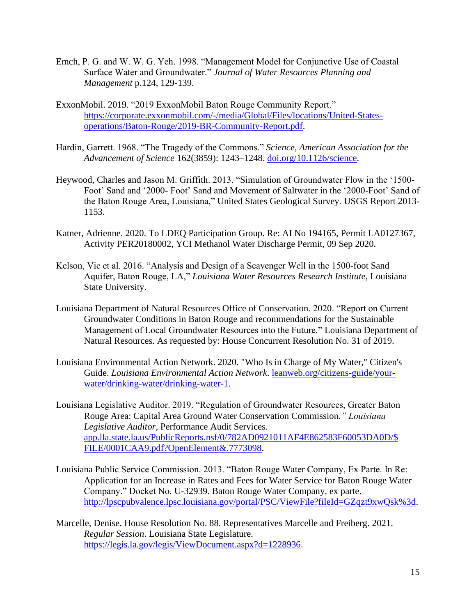- Emch, P. G. and W. W. G. Yeh. 1998. "Management Model for Conjunctive Use of Coastal Surface Water and Groundwater." *Journal of Water Resources Planning and Management* p.124, 129-139.
- ExxonMobil. 2019. "2019 ExxonMobil Baton Rouge Community Report." [https://corporate.exxonmobil.com/-/media/Global/Files/locations/United-States](https://corporate.exxonmobil.com/-/media/Global/Files/locations/United-States-operations/Baton-Rouge/2019-BR-Community-Report.pdf)[operations/Baton-Rouge/2019-BR-Community-Report.pdf.](https://corporate.exxonmobil.com/-/media/Global/Files/locations/United-States-operations/Baton-Rouge/2019-BR-Community-Report.pdf)
- Hardin, Garrett. 1968. "The Tragedy of the Commons." *Science, American Association for the Advancement of Science* 162(3859): 1243–1248. [doi.org/10.1126/science.](https://doi.org/10.1126/science)
- Heywood, Charles and Jason M. Griffith. 2013. "Simulation of Groundwater Flow in the '1500- Foot' Sand and '2000- Foot' Sand and Movement of Saltwater in the '2000-Foot' Sand of the Baton Rouge Area, Louisiana," United States Geological Survey*.* USGS Report 2013- 1153.
- Katner, Adrienne. 2020. To LDEQ Participation Group. Re: AI No 194165, Permit LA0127367, Activity PER20180002, YCI Methanol Water Discharge Permit, 09 Sep 2020.
- Kelson, Vic et al. 2016. "Analysis and Design of a Scavenger Well in the 1500-foot Sand Aquifer, Baton Rouge, LA," *Louisiana Water Resources Research Institute*, Louisiana State University.
- Louisiana Department of Natural Resources Office of Conservation. 2020. "Report on Current Groundwater Conditions in Baton Rouge and recommendations for the Sustainable Management of Local Groundwater Resources into the Future." Louisiana Department of Natural Resources*.* As requested by: House Concurrent Resolution No. 31 of 2019.
- Louisiana Environmental Action Network. 2020. "Who Is in Charge of My Water," Citizen's Guide. *Louisiana Environmental Action Network*. [leanweb.org/citizens-guide/your](https://leanweb.org/citizens-guide/your-water/drinking-water/drinking-water-1)[water/drinking-water/drinking-water-1.](https://leanweb.org/citizens-guide/your-water/drinking-water/drinking-water-1)
- Louisiana Legislative Auditor. 2019. "Regulation of Groundwater Resources, Greater Baton Rouge Area: Capital Area Ground Water Conservation Commission*." Louisiana Legislative Auditor*, Performance Audit Services*.*  [app.lla.state.la.us/PublicReports.nsf/0/782AD0921011AF4E862583F60053DA0D/\\$](http://app.lla.state.la.us/PublicReports.nsf/0/782AD0921011AF4E862583F60053DA0D/$FILE/0001CAA9.pdf?OpenElement&.7773098)  [FILE/0001CAA9.pdf?OpenElement&.7773098.](http://app.lla.state.la.us/PublicReports.nsf/0/782AD0921011AF4E862583F60053DA0D/$FILE/0001CAA9.pdf?OpenElement&.7773098)
- Louisiana Public Service Commission. 2013. "Baton Rouge Water Company, Ex Parte. In Re: Application for an Increase in Rates and Fees for Water Service for Baton Rouge Water Company." Docket No. U-32939. Baton Rouge Water Company, ex parte. [http://lpscpubvalence.lpsc.louisiana.gov/portal/PSC/ViewFile?fileId=GZqzt9xwQsk%3d.](https://lpscpubvalence.lpsc.louisiana.gov/portal/PSC/ViewFile?fileId=GZqzt9xwQsk%3d)
- Marcelle, Denise. House Resolution No. 88. Representatives Marcelle and Freiberg. 2021. *Regular Session*. Louisiana State Legislature. [https://legis.la.gov/legis/ViewDocument.aspx?d=1228936.](https://legis.la.gov/legis/ViewDocument.aspx?d=1228936)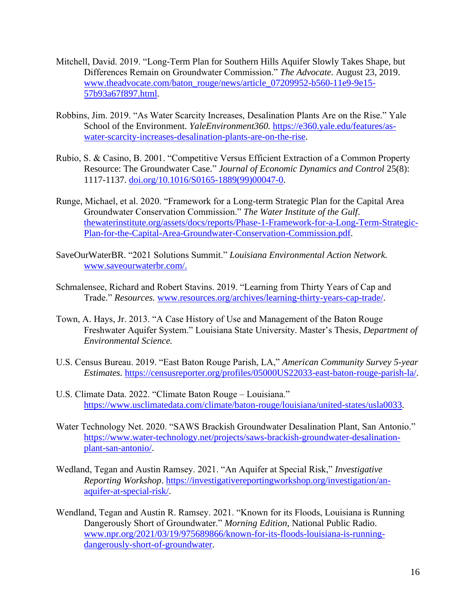- Mitchell, David. 2019. "Long-Term Plan for Southern Hills Aquifer Slowly Takes Shape, but Differences Remain on Groundwater Commission." *The Advocate*. August 23, 2019. [www.theadvocate.com/baton\\_rouge/news/article\\_07209952-b560-11e9-9e15-](https://www.theadvocate.com/baton_rouge/news/article_07209952-b560-11e9-9e15-57b93a67f897.html) [57b93a67f897.html.](https://www.theadvocate.com/baton_rouge/news/article_07209952-b560-11e9-9e15-57b93a67f897.html)
- Robbins, Jim. 2019. "As Water Scarcity Increases, Desalination Plants Are on the Rise." Yale School of the Environment. *YaleEnvironment360.* [https://e360.yale.edu/features/as](https://e360.yale.edu/features/as-water-scarcity-increases-desalination-plants-are-on-the-rise)[water-scarcity-increases-desalination-plants-are-on-the-rise.](https://e360.yale.edu/features/as-water-scarcity-increases-desalination-plants-are-on-the-rise)
- Rubio, S. & Casino, B. 2001. "Competitive Versus Efficient Extraction of a Common Property Resource: The Groundwater Case." *Journal of Economic Dynamics and Control* 25(8): 1117-1137. [doi.org/10.1016/S0165-1889\(99\)00047-0.](https://doi.org/10.1016/S0165-1889(99)00047-0)
- Runge, Michael, et al. 2020. "Framework for a Long-term Strategic Plan for the Capital Area Groundwater Conservation Commission." *The Water Institute of the Gulf*. [thewaterinstitute.org/assets/docs/reports/Phase-1-Framework-for-a-Long-Term-Strategic-](https://thewaterinstitute.org/assets/docs/reports/Phase-1-Framework-for-a-Long-Term-Strategic-Plan-for-the-Capital-Area-Groundwater-Conservation-Commission.pdf)[Plan-for-the-Capital-Area-Groundwater-Conservation-Commission.pdf.](https://thewaterinstitute.org/assets/docs/reports/Phase-1-Framework-for-a-Long-Term-Strategic-Plan-for-the-Capital-Area-Groundwater-Conservation-Commission.pdf)
- SaveOurWaterBR. "2021 Solutions Summit." *Louisiana Environmental Action Network.*  [www.saveourwaterbr.com/.](http://www.saveourwaterbr.com/)
- Schmalensee, Richard and Robert Stavins. 2019. "Learning from Thirty Years of Cap and Trade." *Resources.* [www.resources.org/archives/learning-thirty-years-cap-trade/.](https://www.resources.org/archives/learning-thirty-years-cap-trade/)
- Town, A. Hays, Jr. 2013. "A Case History of Use and Management of the Baton Rouge Freshwater Aquifer System." Louisiana State University. Master's Thesis, *Department of Environmental Science.*
- *Estimates.* [https://censusreporter.org/profiles/05000US22033-east-baton-rouge-parish-la/.](https://censusreporter.org/profiles/05000US22033-east-baton-rouge-parish-la/)<br>U.S. Climate Data. 2022. "Climate Baton Rouge Louisiana." U.S. Census Bureau. 2019. "East Baton Rouge Parish, LA," *American Community Survey 5-year*
- U.S. Climate Data. 2022. "Climate Baton Rouge Louisiana." [https://www.usclimatedata.com/climate/baton-rouge/louisiana/united-states/usla0033.](https://www.usclimatedata.com/climate/baton-rouge/louisiana/united-states/usla0033)
- Water Technology Net. 2020. "SAWS Brackish Groundwater Desalination Plant, San Antonio." [https://www.water-technology.net/projects/saws-brackish-groundwater-desalination](https://www.water-technology.net/projects/saws-brackish-groundwater-desalination-plant-san-antonio/)[plant-san-antonio/.](https://www.water-technology.net/projects/saws-brackish-groundwater-desalination-plant-san-antonio/)
- Wedland, Tegan and Austin Ramsey. 2021. "An Aquifer at Special Risk," *Investigative Reporting Workshop*. [https://investigativereportingworkshop.org/investigation/an](https://investigativereportingworkshop.org/investigation/an-aquifer-at-special-risk/)[aquifer-at-special-risk/.](https://investigativereportingworkshop.org/investigation/an-aquifer-at-special-risk/)
- Wendland, Tegan and Austin R. Ramsey. 2021. "Known for its Floods, Louisiana is Running Dangerously Short of Groundwater." *Morning Edition*, National Public Radio. [www.npr.org/2021/03/19/975689866/known-for-its-floods-louisiana-is-running](https://www.npr.org/2021/03/19/975689866/known-for-its-floods-louisiana-is-running-dangerously-short-of-groundwater)[dangerously-short-of-groundwater.](https://www.npr.org/2021/03/19/975689866/known-for-its-floods-louisiana-is-running-dangerously-short-of-groundwater)